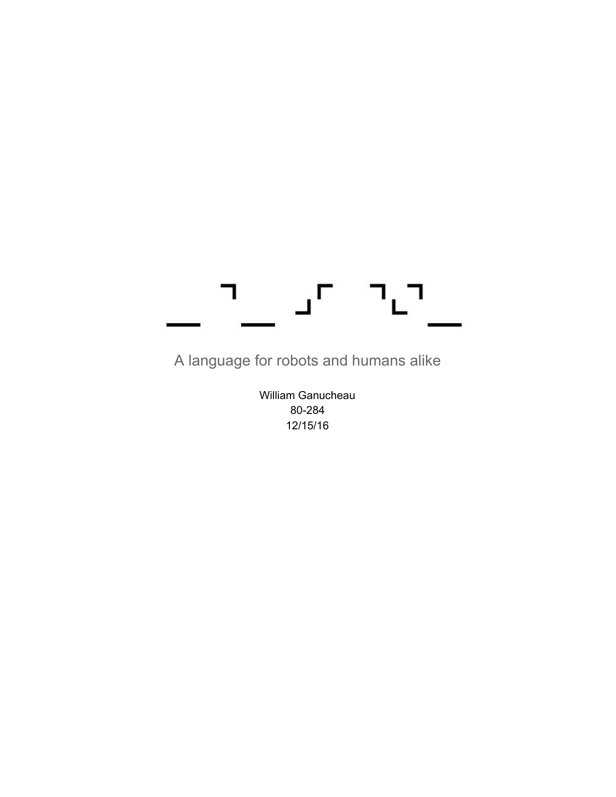#### ┑ י∟ П

A language for robots and humans alike

William Ganucheau 80-284 12/15/16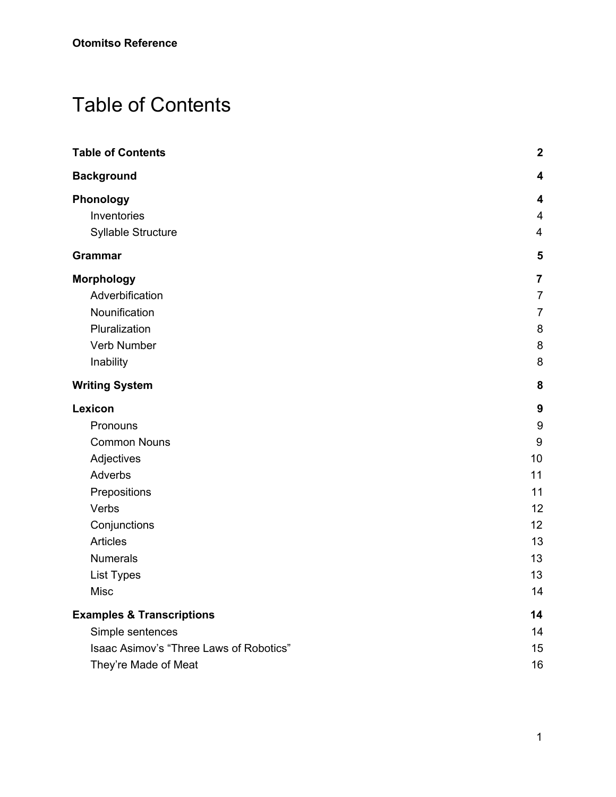# <span id="page-1-0"></span>Table of Contents

| <b>Table of Contents</b>                | $\mathbf{2}$            |
|-----------------------------------------|-------------------------|
| <b>Background</b>                       | 4                       |
| Phonology                               | 4                       |
| Inventories                             | $\overline{\mathbf{4}}$ |
| Syllable Structure                      | $\overline{\mathbf{4}}$ |
| Grammar                                 | 5                       |
| <b>Morphology</b>                       | $\overline{\mathbf{7}}$ |
| Adverbification                         | $\overline{7}$          |
| Nounification                           | $\overline{7}$          |
| Pluralization                           | 8                       |
| Verb Number                             | 8                       |
| Inability                               | 8                       |
| <b>Writing System</b>                   | 8                       |
| Lexicon                                 | 9                       |
| Pronouns                                | 9                       |
| <b>Common Nouns</b>                     | 9                       |
| Adjectives                              | 10                      |
| Adverbs                                 | 11                      |
| Prepositions                            | 11                      |
| Verbs                                   | 12                      |
| Conjunctions                            | 12                      |
| <b>Articles</b>                         | 13                      |
| <b>Numerals</b>                         | 13                      |
| <b>List Types</b>                       | 13                      |
| Misc                                    | 14                      |
| <b>Examples &amp; Transcriptions</b>    | 14                      |
| Simple sentences                        | 14                      |
| Isaac Asimov's "Three Laws of Robotics" | 15                      |
| They're Made of Meat                    | 16                      |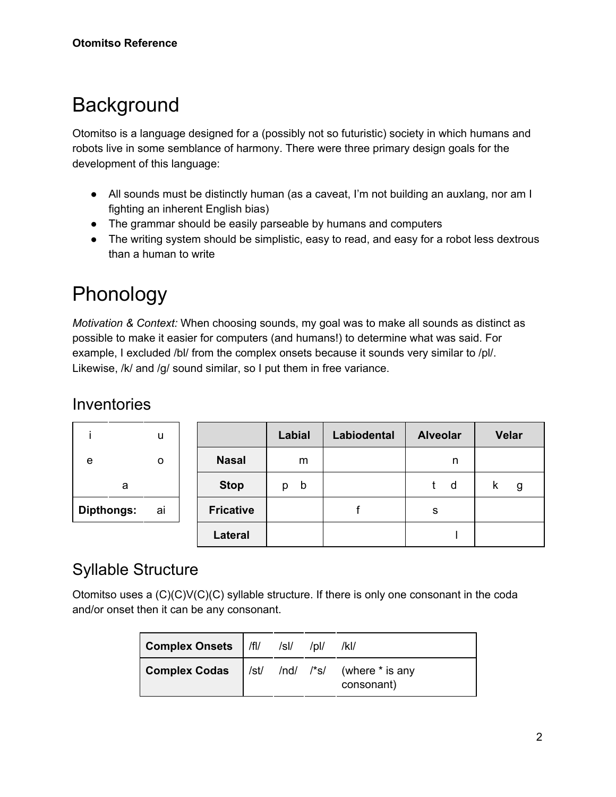# <span id="page-2-0"></span>**Background**

Otomitso is a language designed for a (possibly not so futuristic) society in which humans and robots live in some semblance of harmony. There were three primary design goals for the development of this language:

- All sounds must be distinctly human (as a caveat, I'm not building an auxlang, nor am I fighting an inherent English bias)
- The grammar should be easily parseable by humans and computers
- The writing system should be simplistic, easy to read, and easy for a robot less dextrous than a human to write

### <span id="page-2-1"></span>Phonology

*Motivation & Context:* When choosing sounds, my goal was to make all sounds as distinct as possible to make it easier for computers (and humans!) to determine what was said. For example, I excluded /bl/ from the complex onsets because it sounds very similar to /pl/. Likewise, /k/ and /g/ sound similar, so I put them in free variance.

#### <span id="page-2-2"></span>**Inventories**

|                   | u  |                  | Labial           | Labiodental | <b>Alveolar</b> | <b>Velar</b> |
|-------------------|----|------------------|------------------|-------------|-----------------|--------------|
| e                 | 0  | <b>Nasal</b>     | m                |             | n               |              |
| a                 |    | <b>Stop</b>      | $\mathsf b$<br>D |             | d               | g            |
| <b>Dipthongs:</b> | ai | <b>Fricative</b> |                  |             | s               |              |
|                   |    | <b>Lateral</b>   |                  |             |                 |              |

#### <span id="page-2-3"></span>Syllable Structure

Otomitso uses a  $(C)(C)(C)(C)$  syllable structure. If there is only one consonant in the coda and/or onset then it can be any consonant.

| Complex Onsets   /fl/ /sl/                                  |  | $/$ ol/ | /kl/       |
|-------------------------------------------------------------|--|---------|------------|
| <b>Complex Codas</b> $ $ /st/ $/$ /nd/ /*s/ (where * is any |  |         | consonant) |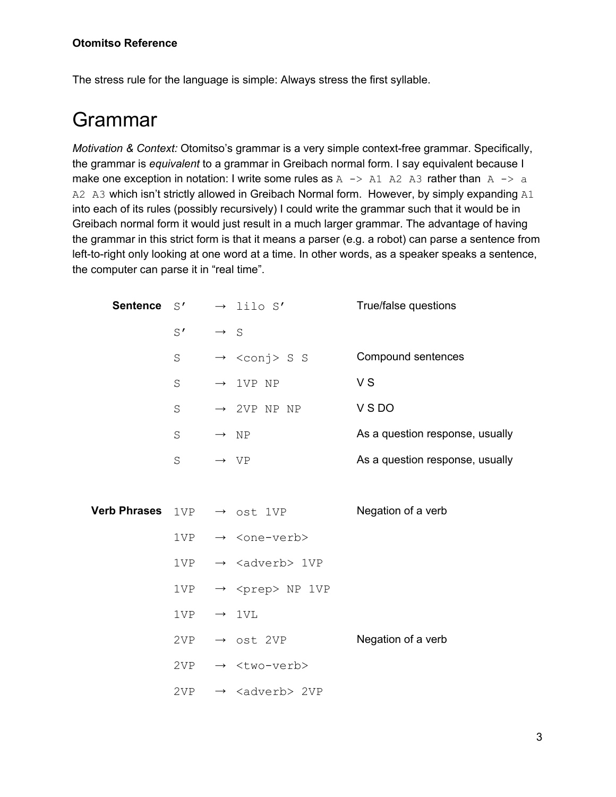#### **Otomitso Reference**

<span id="page-3-0"></span>The stress rule for the language is simple: Always stress the first syllable.

### Grammar

*Motivation & Context:* Otomitso's grammar is a very simple context-free grammar. Specifically, the grammar is *equivalent* to a grammar in Greibach normal form. I say equivalent because I make one exception in notation: I write some rules as  $A \rightarrow A1$  A2 A3 rather than  $A \rightarrow a$ A2 A3 which isn't strictly allowed in Greibach Normal form. However, by simply expanding A1 into each of its rules (possibly recursively) I could write the grammar such that it would be in Greibach normal form it would just result in a much larger grammar. The advantage of having the grammar in this strict form is that it means a parser (e.g. a robot) can parse a sentence from left-to-right only looking at one word at a time. In other words, as a speaker speaks a sentence, the computer can parse it in "real time".

| <b>Sentence</b>     | S'           |                 | $\rightarrow$ lilo S'                       | True/false questions            |
|---------------------|--------------|-----------------|---------------------------------------------|---------------------------------|
|                     | $S^{\prime}$ | $\rightarrow$ S |                                             |                                 |
|                     | $\rm S$      |                 | $\rightarrow$ <conj> S S</conj>             | Compound sentences              |
|                     | $\rm S$      |                 | $\rightarrow$ 1VP NP                        | V <sub>S</sub>                  |
|                     | $\rm S$      |                 | $\rightarrow$ 2VP NP NP                     | VSDO                            |
|                     | S            |                 | $\rightarrow$ NP                            | As a question response, usually |
|                     | $\rm S$      |                 | $\rightarrow$ VP                            | As a question response, usually |
|                     |              |                 |                                             |                                 |
| <b>Verb Phrases</b> |              |                 | $1VP \rightarrow \text{ost } 1VP$           | Negation of a verb              |
|                     |              |                 | $1VP \rightarrow \langle one-verb\rangle$   |                                 |
|                     |              |                 | $1VP \rightarrow \langle adverb\rangle 1VP$ |                                 |
|                     |              |                 | 1VP $\rightarrow$ <prep> NP 1VP</prep>      |                                 |
|                     | 1VP          |                 | $\rightarrow$ 1VL                           |                                 |
|                     | 2VP          |                 | $\rightarrow$ ost 2VP                       | Negation of a verb              |
|                     | 2VP          |                 | $\rightarrow$ <two-verb></two-verb>         |                                 |
|                     | 2VP —        |                 | $\rightarrow$ <adverb> 2VP</adverb>         |                                 |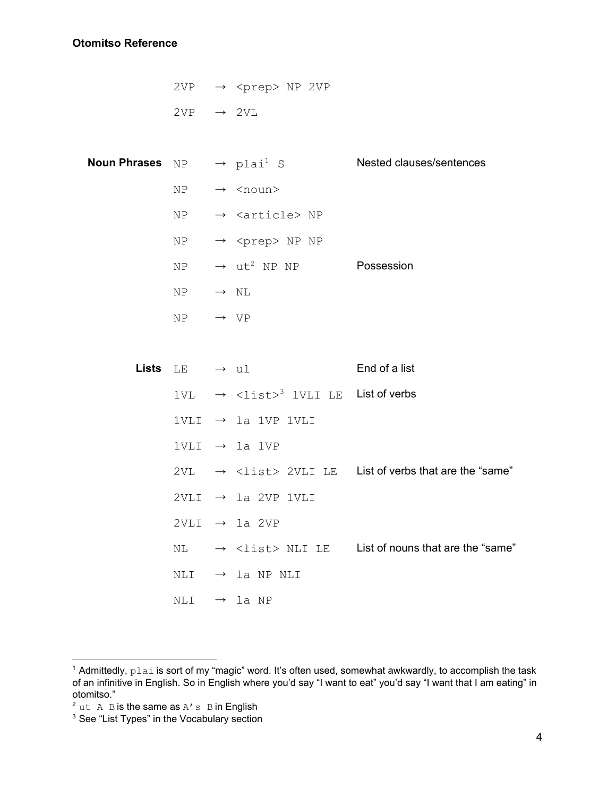#### **Otomitso Reference**

| 2VP | $\rightarrow$ <prep> NP 2VP</prep> |  |
|-----|------------------------------------|--|
| 2VP | $\rightarrow$ 2VI.                 |  |

| Noun Phrases $NP \rightarrow plai^1 S$ |                           |                                                                        | Nested clauses/sentences                                                                      |
|----------------------------------------|---------------------------|------------------------------------------------------------------------|-----------------------------------------------------------------------------------------------|
|                                        | NP                        | $\rightarrow$ <noun></noun>                                            |                                                                                               |
|                                        | NP                        | $\rightarrow$ <article> NP</article>                                   |                                                                                               |
|                                        | NP                        | $\rightarrow$ <prep> NP NP</prep>                                      |                                                                                               |
|                                        | NP                        | $\rightarrow$ ut <sup>2</sup> NP NP <b>Possession</b>                  |                                                                                               |
|                                        | $NP \rightarrow NL$       |                                                                        |                                                                                               |
|                                        | $NP \rightarrow VP$       |                                                                        |                                                                                               |
|                                        |                           |                                                                        |                                                                                               |
|                                        | Lists $LE \rightarrow ul$ |                                                                        | End of a list                                                                                 |
|                                        |                           | $1VL \rightarrow \langle 1 \text{ist} \rangle^3$ 1VLI LE List of verbs |                                                                                               |
|                                        |                           | 1VLI $\rightarrow$ la 1VP 1VLI                                         |                                                                                               |
|                                        |                           | 1VLI $\rightarrow$ la 1VP                                              |                                                                                               |
|                                        |                           |                                                                        | $2VL \rightarrow \langle \text{list} \rangle 2VLI LE$ List of verbs that are the "same"       |
|                                        |                           | $2VLI \rightarrow la 2VP 1VLI$                                         |                                                                                               |
|                                        |                           | $2VLI \rightarrow la 2VP$                                              |                                                                                               |
|                                        |                           |                                                                        | $NL \rightarrow \langle \text{list} \rangle \text{ NLI LE}$ List of nouns that are the "same" |
|                                        |                           | NLI $\rightarrow$ la NP NLI                                            |                                                                                               |
|                                        | NLI                       | $\rightarrow$ la NP                                                    |                                                                                               |
|                                        |                           |                                                                        |                                                                                               |

<sup>&</sup>lt;sup>1</sup> Admittedly, plai is sort of my "magic" word. It's often used, somewhat awkwardly, to accomplish the task of an infinitive in English. So in English where you'd say "I want to eat" you'd say "I want that I am eating" in otomitso."

 $^2$  ut  $\,$  A  $\,$  B is the same as A'  $\,$  B in English  $^3$  See "List Types" in the Vocabulary section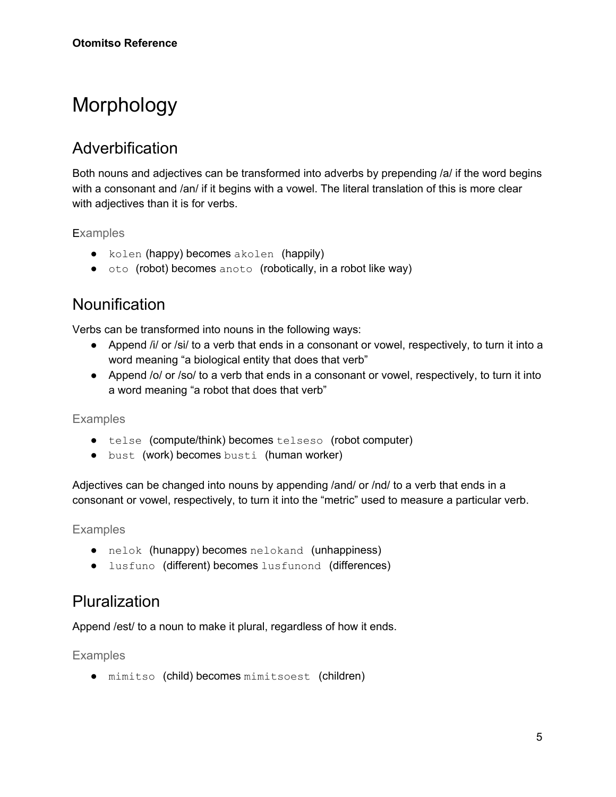# <span id="page-5-0"></span>Morphology

#### <span id="page-5-1"></span>**Adverbification**

Both nouns and adjectives can be transformed into adverbs by prepending /a/ if the word begins with a consonant and /an/ if it begins with a vowel. The literal translation of this is more clear with adjectives than it is for verbs.

**Examples** 

- kolen (happy) becomes akolen (happily)
- oto (robot) becomes anoto (robotically, in a robot like way)

#### <span id="page-5-2"></span>**Nounification**

Verbs can be transformed into nouns in the following ways:

- Append /i/ or /si/ to a verb that ends in a consonant or vowel, respectively, to turn it into a word meaning "a biological entity that does that verb"
- Append /o/ or /so/ to a verb that ends in a consonant or vowel, respectively, to turn it into a word meaning "a robot that does that verb"

Examples

- telse (compute/think) becomes telseso (robot computer)
- bust (work) becomes busti (human worker)

Adjectives can be changed into nouns by appending /and/ or /nd/ to a verb that ends in a consonant or vowel, respectively, to turn it into the "metric" used to measure a particular verb.

Examples

- nelok (hunappy) becomes nelokand (unhappiness)
- lusfuno (different) becomes lusfunond (differences)

#### <span id="page-5-3"></span>Pluralization

<span id="page-5-4"></span>Append /est/ to a noun to make it plural, regardless of how it ends.

Examples

● mimitso (child) becomes mimitsoest (children)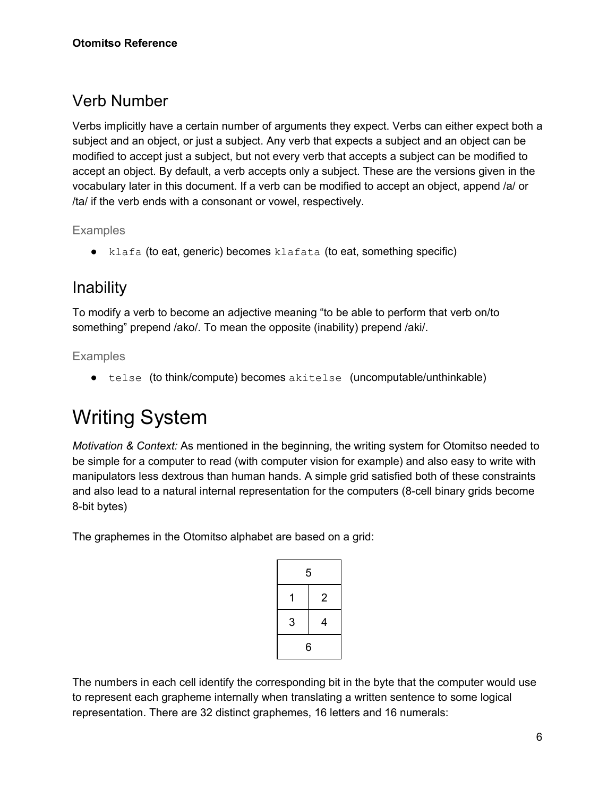#### <span id="page-6-0"></span>Verb Number

Verbs implicitly have a certain number of arguments they expect. Verbs can either expect both a subject and an object, or just a subject. Any verb that expects a subject and an object can be modified to accept just a subject, but not every verb that accepts a subject can be modified to accept an object. By default, a verb accepts only a subject. These are the versions given in the vocabulary later in this document. If a verb can be modified to accept an object, append /a/ or /ta/ if the verb ends with a consonant or vowel, respectively.

Examples

 $\bullet$  klafa (to eat, generic) becomes klafata (to eat, something specific)

### <span id="page-6-1"></span>Inability

To modify a verb to become an adjective meaning "to be able to perform that verb on/to something" prepend /ako/. To mean the opposite (inability) prepend /aki/.

#### <span id="page-6-2"></span>Examples

● telse (to think/compute) becomes akitelse (uncomputable/unthinkable)

# <span id="page-6-3"></span>Writing System

*Motivation & Context:* As mentioned in the beginning, the writing system for Otomitso needed to be simple for a computer to read (with computer vision for example) and also easy to write with manipulators less dextrous than human hands. A simple grid satisfied both of these constraints and also lead to a natural internal representation for the computers (8-cell binary grids become 8-bit bytes)

The graphemes in the Otomitso alphabet are based on a grid:

|   | 5              |
|---|----------------|
|   | $\overline{2}$ |
| 3 | 4              |
|   | 6              |

The numbers in each cell identify the corresponding bit in the byte that the computer would use to represent each grapheme internally when translating a written sentence to some logical representation. There are 32 distinct graphemes, 16 letters and 16 numerals: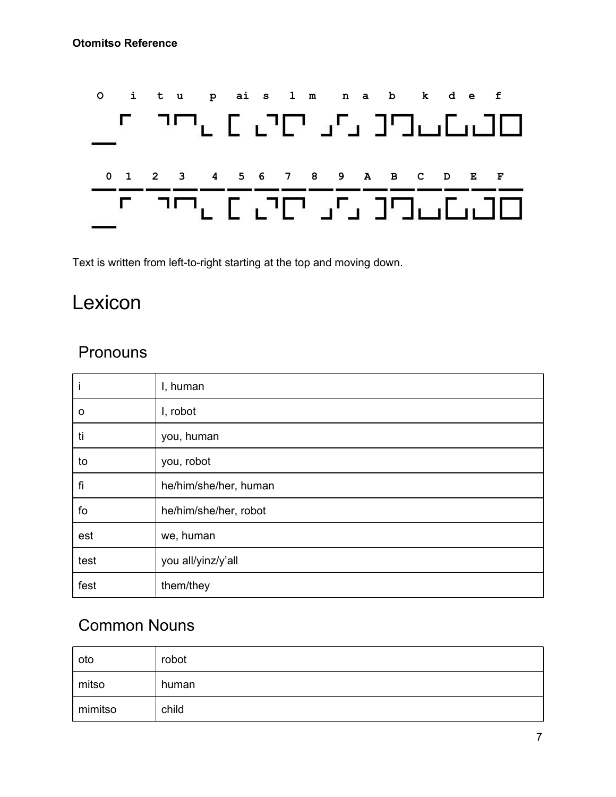

<span id="page-7-0"></span>Text is written from left-to-right starting at the top and moving down.

### Lexicon

#### <span id="page-7-1"></span>**Pronouns**

| I    | I, human              |
|------|-----------------------|
| O    | I, robot              |
| ti   | you, human            |
| to   | you, robot            |
| fi   | he/him/she/her, human |
| fo   | he/him/she/her, robot |
| est  | we, human             |
| test | you all/yinz/y'all    |
| fest | them/they             |

#### <span id="page-7-2"></span>Common Nouns

| oto     | robot |
|---------|-------|
| mitso   | human |
| mimitso | child |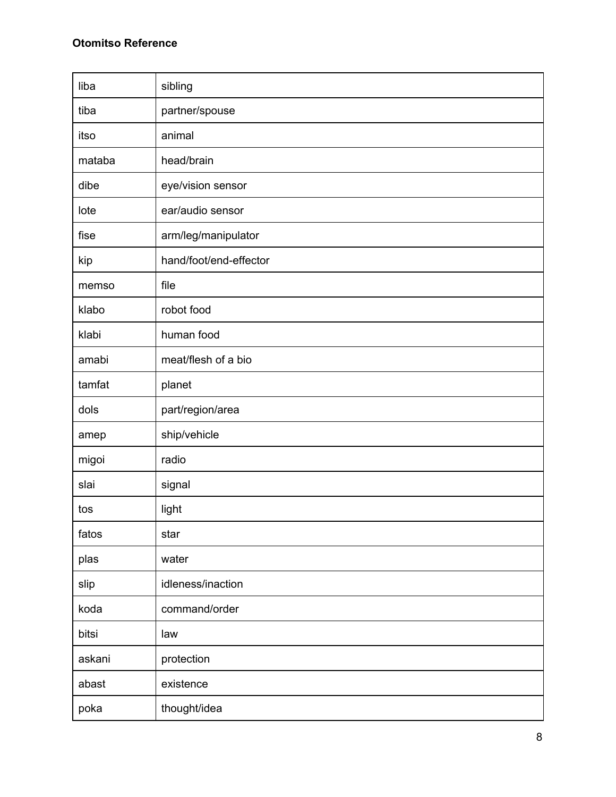| liba   | sibling                |
|--------|------------------------|
| tiba   | partner/spouse         |
| itso   | animal                 |
| mataba | head/brain             |
| dibe   | eye/vision sensor      |
| lote   | ear/audio sensor       |
| fise   | arm/leg/manipulator    |
| kip    | hand/foot/end-effector |
| memso  | file                   |
| klabo  | robot food             |
| klabi  | human food             |
| amabi  | meat/flesh of a bio    |
| tamfat | planet                 |
| dols   | part/region/area       |
| amep   | ship/vehicle           |
| migoi  | radio                  |
| slai   | signal                 |
| tos    | light                  |
| fatos  | star                   |
| plas   | water                  |
| slip   | idleness/inaction      |
| koda   | command/order          |
| bitsi  | law                    |
| askani | protection             |
| abast  | existence              |
| poka   | thought/idea           |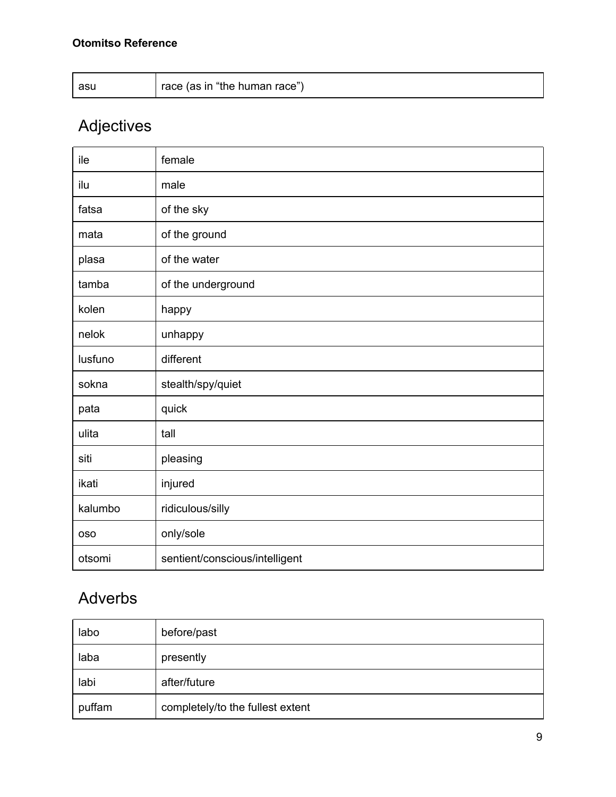| $\mu$ race (as in "the human race")<br>asu |  |
|--------------------------------------------|--|
|--------------------------------------------|--|

# <span id="page-9-0"></span>Adjectives

| ile        | female                         |
|------------|--------------------------------|
| ilu        | male                           |
| fatsa      | of the sky                     |
| mata       | of the ground                  |
| plasa      | of the water                   |
| tamba      | of the underground             |
| kolen      | happy                          |
| nelok      | unhappy                        |
| lusfuno    | different                      |
| sokna      | stealth/spy/quiet              |
| pata       | quick                          |
| ulita      | tall                           |
| siti       | pleasing                       |
| ikati      | injured                        |
| kalumbo    | ridiculous/silly               |
| <b>OSO</b> | only/sole                      |
| otsomi     | sentient/conscious/intelligent |

### <span id="page-9-1"></span>Adverbs

| labo   | before/past                      |
|--------|----------------------------------|
| laba   | presently                        |
| labi   | after/future                     |
| puffam | completely/to the fullest extent |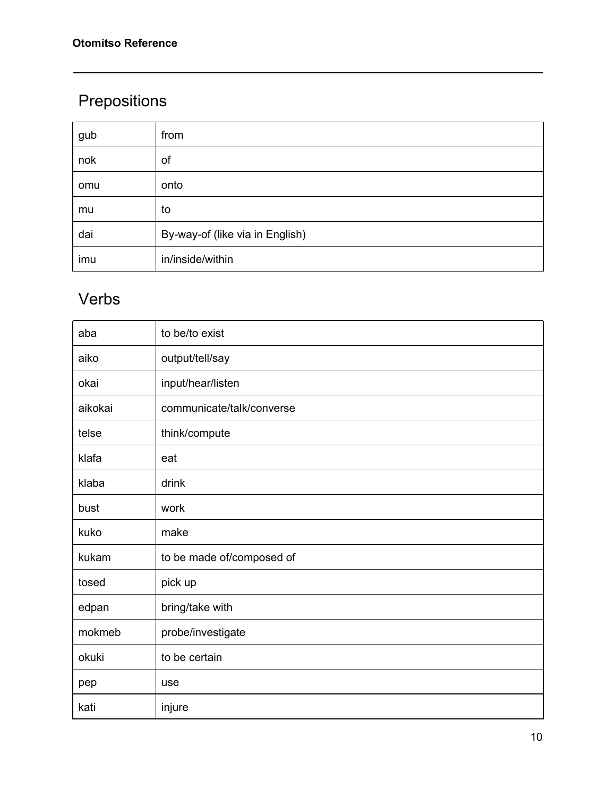### <span id="page-10-0"></span>Prepositions

| gub | from                            |
|-----|---------------------------------|
| nok | of                              |
| omu | onto                            |
| mu  | to                              |
| dai | By-way-of (like via in English) |
| imu | in/inside/within                |

### <span id="page-10-1"></span>Verbs

| aba     | to be/to exist            |
|---------|---------------------------|
| aiko    | output/tell/say           |
| okai    | input/hear/listen         |
| aikokai | communicate/talk/converse |
| telse   | think/compute             |
| klafa   | eat                       |
| klaba   | drink                     |
| bust    | work                      |
| kuko    | make                      |
| kukam   | to be made of/composed of |
| tosed   | pick up                   |
| edpan   | bring/take with           |
| mokmeb  | probe/investigate         |
| okuki   | to be certain             |
| pep     | use                       |
| kati    | injure                    |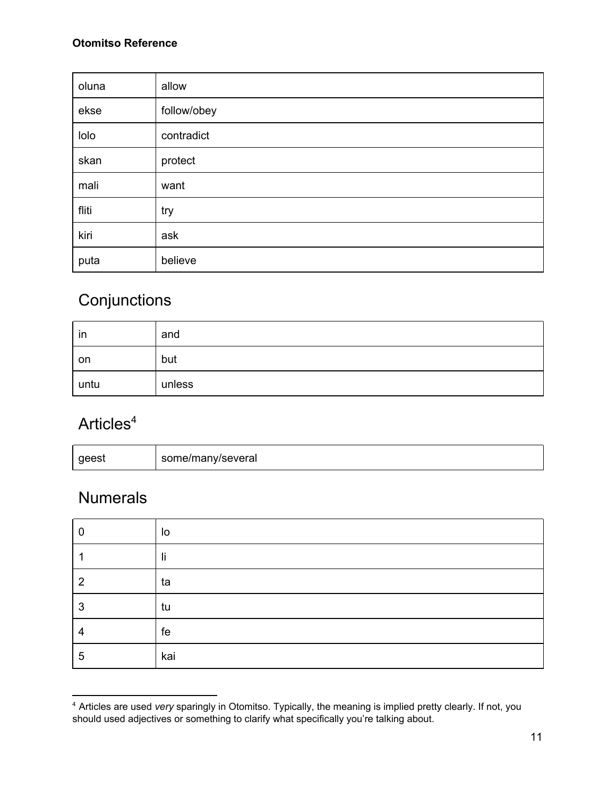#### **Otomitso Reference**

| oluna | allow       |
|-------|-------------|
| ekse  | follow/obey |
| lolo  | contradict  |
| skan  | protect     |
| mali  | want        |
| fliti | try         |
| kiri  | ask         |
| puta  | believe     |

### <span id="page-11-0"></span>**Conjunctions**

| in   | and    |
|------|--------|
| on   | but    |
| untu | unless |

#### <span id="page-11-1"></span>Articles<sup>4</sup>

| geest | some/many/several |
|-------|-------------------|
|-------|-------------------|

#### <span id="page-11-2"></span>**Numerals**

| 0              | lo  |
|----------------|-----|
|                | li  |
| $\overline{2}$ | ta  |
| 3              | tu  |
| 4              | fe  |
| 5              | kai |

<sup>4</sup> Articles are used *very* sparingly in Otomitso. Typically, the meaning is implied pretty clearly. If not, you should used adjectives or something to clarify what specifically you're talking about.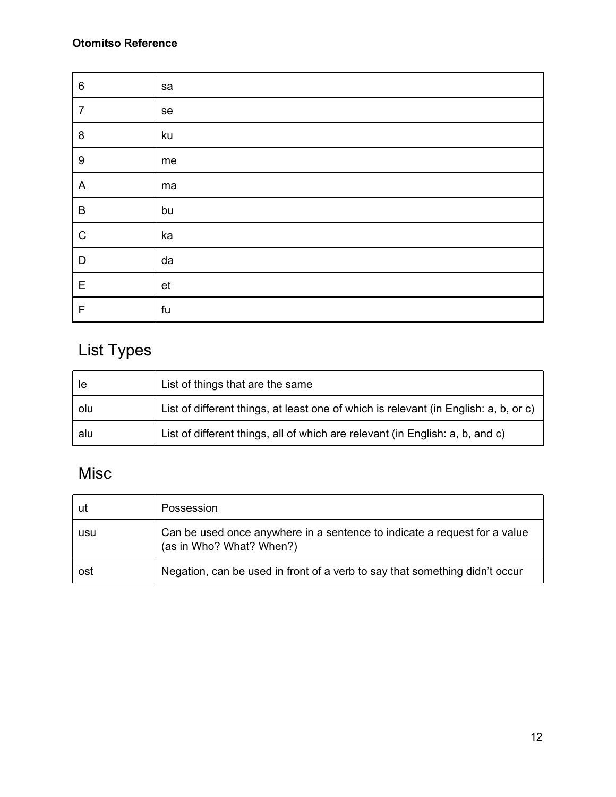| $\,6\,$                   | sa |
|---------------------------|----|
| $\overline{7}$            | se |
| $\bf 8$                   | ku |
| $\boldsymbol{9}$          | me |
| $\boldsymbol{\mathsf{A}}$ | ma |
| $\sf B$                   | bu |
| $\mathsf C$               | ka |
| D                         | da |
| E                         | et |
| F                         | fu |

### <span id="page-12-0"></span>List Types

| le  | List of things that are the same                                                     |
|-----|--------------------------------------------------------------------------------------|
| olu | List of different things, at least one of which is relevant (in English: a, b, or c) |
| alu | List of different things, all of which are relevant (in English: a, b, and c)        |

### <span id="page-12-1"></span>Misc

| ut  | Possession                                                                                            |
|-----|-------------------------------------------------------------------------------------------------------|
| usu | Can be used once anywhere in a sentence to indicate a request for a value<br>(as in Who? What? When?) |
| ost | Negation, can be used in front of a verb to say that something didn't occur                           |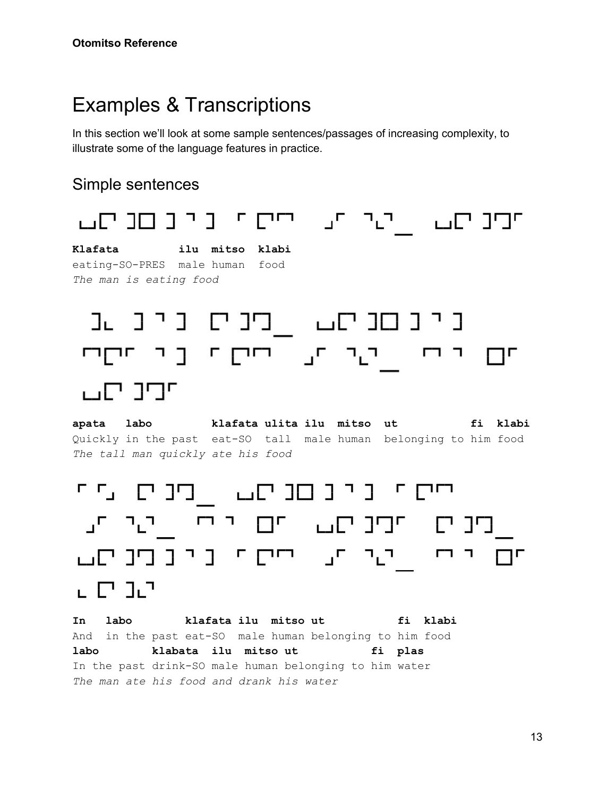### <span id="page-13-0"></span>Examples & Transcriptions

In this section we'll look at some sample sentences/passages of increasing complexity, to illustrate some of the language features in practice.

#### Simple sentences



**apata labo klafata ulita ilu mitso ut fi klabi** Quickly in the past eat-SO tall male human belonging to him food *The tall man quickly ate his food*

יים ינינםנים. בינים מי בינים תיכום עם יוחון יעיות. תם יותן יעיות, יחסת ניונסניסט 나무 다구

**In labo klafata ilu mitso ut fi klabi** And in the past eat-SO male human belonging to him food **labo klabata ilu mitso ut fi plas** In the past drink-SO male human belonging to him water *The man ate his food and drank his water*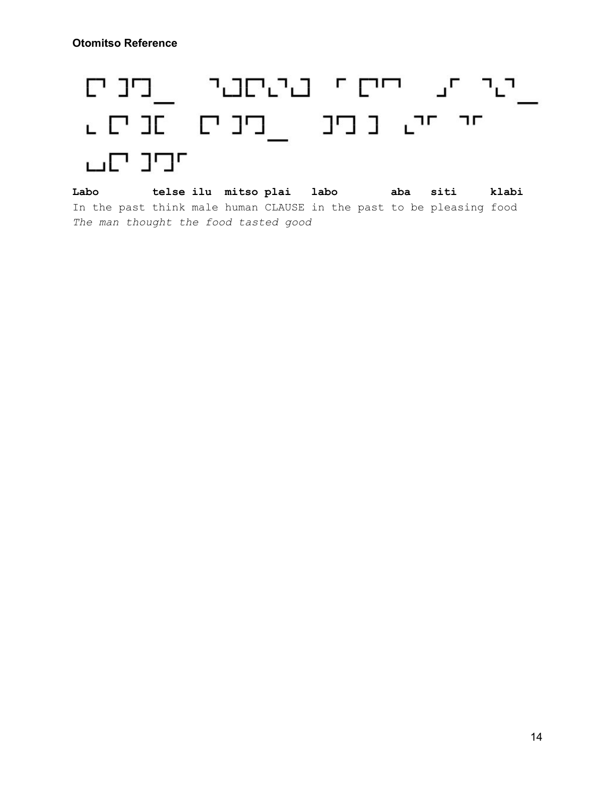# ייני יע יחים יו בינושביו ובינוים חי חים בוכים מבים ש ירנ יום

**Labo telse ilu mitso plai labo aba siti klabi** In the past think male human CLAUSE in the past to be pleasing food *The man thought the food tasted good*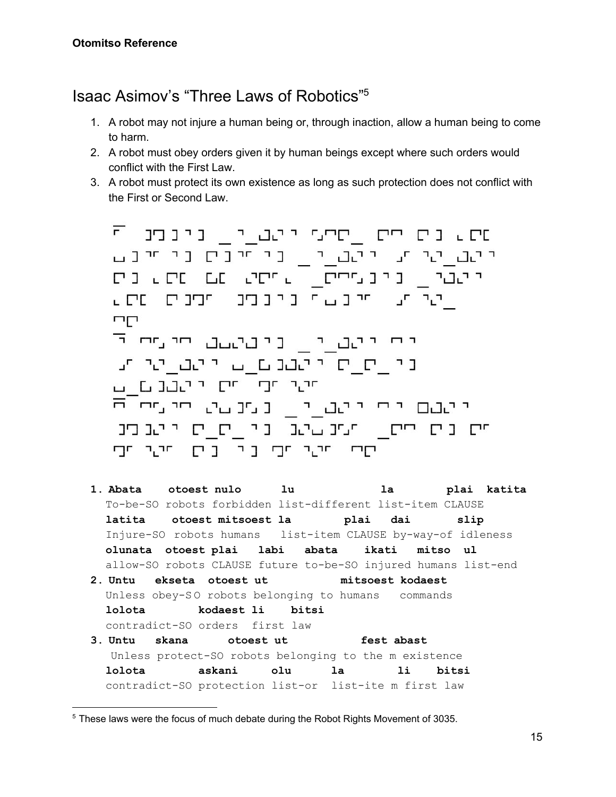#### <span id="page-15-0"></span>Isaac Asimov's "Three Laws of Robotics"<sup>5</sup>

- 1. A robot may not injure a human being or, through inaction, allow a human being to come to harm.
- 2. A robot must obey orders given it by human beings except where such orders would conflict with the First Law.
- 3. A robot must protect its own existence as long as such protection does not conflict with the First or Second Law.

מת גים חיים <sub>ב</sub>תיים ייטב<sub>בו"ם</sub> כיכמכ"ק יינ<u>ם י</u>ני תו יהב<u>ו יו כי חיבת בי זיבם</u><br>יונים <sub>–</sub> בינינית <sub>–</sub> פייני נבר ביט יתר תו תרובשת בקבובים שים ש mп יים יוטביי<sub>ם</sub> ניטטעט פיטיי <sup>ד</sup> un hawaan lu waadhin le wel ha חיו חם השומש באופט ש יינטם ידי יינט<sub>יי</sub>י נענטי פיישי <sup>ה</sup> חים בים חיים\_ חנים ביגב בין יום חיים בים רקים היער הביו ביר הייער הביו

- **1. Abata otoest nulo lu la plai katita** To-be-SO robots forbidden list-different list-item CLAUSE  **latita otoest mitsoest la plai dai slip**  Injure-SO robots humans list-item CLAUSE by-way-of idleness  **olunata otoest plai labi abata ikati mitso ul** allow-SO robots CLAUSE future to-be-SO injured humans list-end **2. Untu ekseta otoest ut mitsoest kodaest** Unless obey-SO robots belonging to humans commands  **lolota kodaest li bitsi**  contradict-SO orders first law
- **3. Untu skana otoest ut fest abast** Unless protect-SO robots belonging to the m existence  **lolota askani olu la li bitsi**  contradict-SO protection list-or list-ite m first law

<sup>&</sup>lt;sup>5</sup> These laws were the focus of much debate during the Robot Rights Movement of 3035.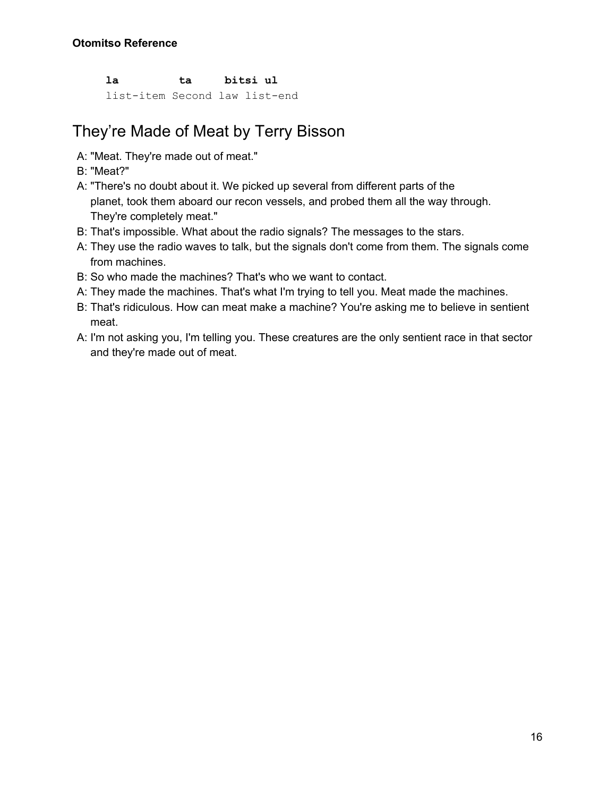**la ta bitsi ul**

list-item Second law list-end

#### <span id="page-16-0"></span>They're Made of Meat by Terry Bisson

- A: "Meat. They're made out of meat."
- B: "Meat?"
- A: "There's no doubt about it. We picked up several from different parts of the planet, took them aboard our recon vessels, and probed them all the way through. They're completely meat."
- B: That's impossible. What about the radio signals? The messages to the stars.
- A: They use the radio waves to talk, but the signals don't come from them. The signals come from machines.
- B: So who made the machines? That's who we want to contact.
- A: They made the machines. That's what I'm trying to tell you. Meat made the machines.
- B: That's ridiculous. How can meat make a machine? You're asking me to believe in sentient meat.
- A: I'm not asking you, I'm telling you. These creatures are the only sentient race in that sector and they're made out of meat.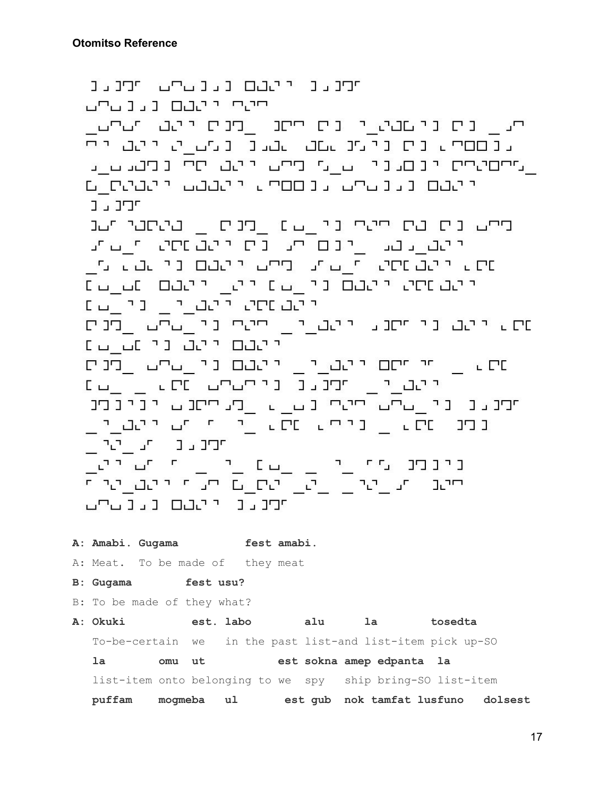תקנענו יהבם נענעקע תקנענ ლიკავ ცვა ილ ית, ניס ניושבת יו ניס חיסנו ומניס יותב ותנחש ונכססף ניס ניומנושם שבנו נומש מויימם יף , מחסימים יונים.ני הן מיימה יישב חיי נומנגנה נ ייטבם נגנטייט גנססיה ייטבבט ייטבים\_ם חיבים בייד מיט נים בת ייטי ני \_ט. בטבים \_ בטספי ישנ ana\_n appāan pā arīdān\_ ada\_dan שיר ליטט פיים היים היים ליטטים וכל שטר בין ייטטוסט ייטטם ניטטיינטים מסטיינט או יהם מסט ליטב ויו ובין במ מת איישם כי מסכל יישים בישי כי <sub>בי</sub>שים <u>ב</u>פנים ייטם ייטב ני טב בז שים <sub>שווי</sub> יי מסוי ישבא לאנט ני<sub>ש</sub>בים <sub>ש</sub>פנים ייטבעי<sub>ם</sub> תחנגנו ניקטקט פרים <sub>ער</sub>ט ממנג ני\_מהמחמים נמ\_מ \_מנחתנמ יניבפנ נפט מסג <sub>ב</sub> נפטים מסג בין מי ישר למבין.<br>מסגר מסג בין ותמנגר הגובית ונינומנו עיטון ומונוס וביון ומודיק.<br>חיצבו ומונוס בישר ביון ביון חשות המבונות היה משפח היה מונוס ומודיק. יירנגנ ייטטם נגנגרג **A: Amabi. Gugama fest amabi.** A: Meat. To be made of they meat **B: Gugama fest usu?** B: To be made of they what? **A: Okuki est. labo alu la tosedta** To-be-certain we in the past list-and list-item pick up-SO  **la omu ut est sokna amep edpanta la** list-item onto belonging to we spy ship bring-SO list-item  **puffam mogmeba ul est gub nok tamfat lusfuno dolsest**